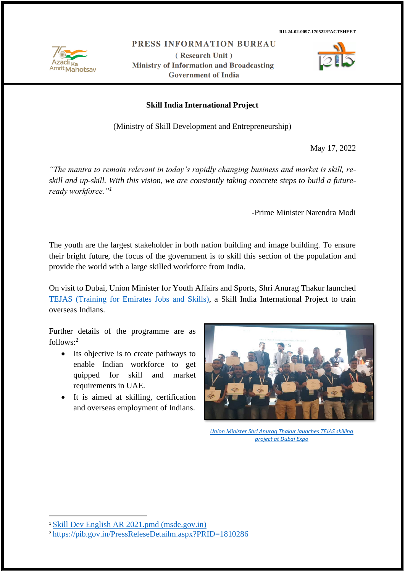Mahotsay

PRESS INFORMATION BUREAU

(Research Unit) **Ministry of Information and Broadcasting Government of India** 



### **Skill India International Project**

(Ministry of Skill Development and Entrepreneurship)

May 17, 2022

*"The mantra to remain relevant in today's rapidly changing business and market is skill, reskill and up-skill. With this vision, we are constantly taking concrete steps to build a futureready workforce."<sup>1</sup>*

-Prime Minister Narendra Modi

The youth are the largest stakeholder in both nation building and image building. To ensure their bright future, the focus of the government is to skill this section of the population and provide the world with a large skilled workforce from India.

On visit to Dubai, Union Minister for Youth Affairs and Sports, Shri Anurag Thakur launched [TEJAS \(Training for Emirates Jobs and Skills\),](https://pib.gov.in/PressReleseDetailm.aspx?PRID=1810286) a Skill India International Project to train overseas Indians.

Further details of the programme are as  $follows:<sup>2</sup>$ 

- Its objective is to create pathways to enable Indian workforce to get quipped for skill and market requirements in UAE.
- It is aimed at skilling, certification and overseas employment of Indians.



*[Union Minister Shri Anurag Thakur launches TEJAS skilling](https://pib.gov.in/PressReleseDetailm.aspx?PRID=1810286)  [project at Dubai Expo](https://pib.gov.in/PressReleseDetailm.aspx?PRID=1810286)*

<sup>1</sup> [Skill Dev English AR 2021.pmd \(msde.gov.in\)](https://msde.gov.in/sites/default/files/2021-08/English-%20Anual%20Report%20of%20MSDE%20for%202020-21.pdf)

<sup>2</sup> <https://pib.gov.in/PressReleseDetailm.aspx?PRID=1810286>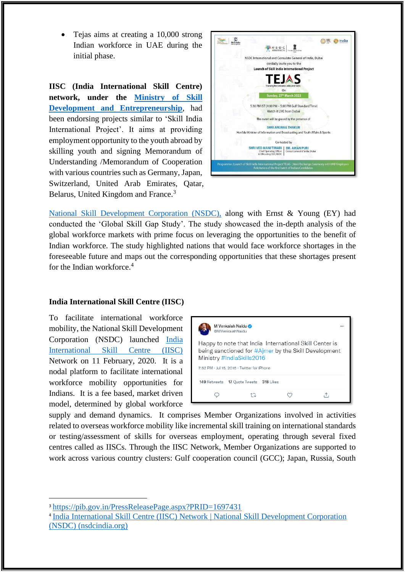• Tejas aims at creating a 10,000 strong Indian workforce in UAE during the initial phase.

**IISC (India International Skill Centre) network, under the [Ministry of Skill](https://www.msde.gov.in/)  [Development and Entrepreneurship](https://www.msde.gov.in/)**, had been endorsing projects similar to 'Skill India International Project'. It aims at providing employment opportunity to the youth abroad by skilling youth and signing Memorandum of Understanding /Memorandum of Cooperation with various countries such as Germany, Japan, Switzerland, United Arab Emirates, Qatar, Belarus, United Kingdom and France.<sup>3</sup>



[National Skill Development Corporation \(NSDC\),](https://nsdcindia.org/) along with Ernst & Young (EY) had conducted the 'Global Skill Gap Study'. The study showcased the in-depth analysis of the global workforce markets with prime focus on leveraging the opportunities to the benefit of Indian workforce. The study highlighted nations that would face workforce shortages in the foreseeable future and maps out the corresponding opportunities that these shortages present for the Indian workforce.<sup>4</sup>

### **India International Skill Centre (IISC)**

To facilitate international workforce mobility, the National Skill Development Corporation (NSDC) launched [India](https://msde.gov.in/en/schemes-initiatives/schemes-initiatives-through-nsdc/india-international-skill-centres-IISCs)  [International Skill Centre \(IISC\)](https://msde.gov.in/en/schemes-initiatives/schemes-initiatives-through-nsdc/india-international-skill-centres-IISCs) Network on 11 February, 2020. It is a nodal platform to facilitate international workforce mobility opportunities for Indians. It is a fee based, market driven model, determined by global workforce



supply and demand dynamics. It comprises Member Organizations involved in activities related to overseas workforce mobility like incremental skill training on international standards or testing/assessment of skills for overseas employment, operating through several fixed centres called as IISCs. Through the IISC Network, Member Organizations are supported to work across various country clusters: Gulf cooperation council (GCC); Japan, Russia, South

<sup>3</sup> <https://pib.gov.in/PressReleasePage.aspx?PRID=1697431>

<sup>4</sup> [India International Skill Centre \(IISC\) Network | National Skill Development Corporation](https://www.nsdcindia.org/iisc-network)  [\(NSDC\) \(nsdcindia.org\)](https://www.nsdcindia.org/iisc-network)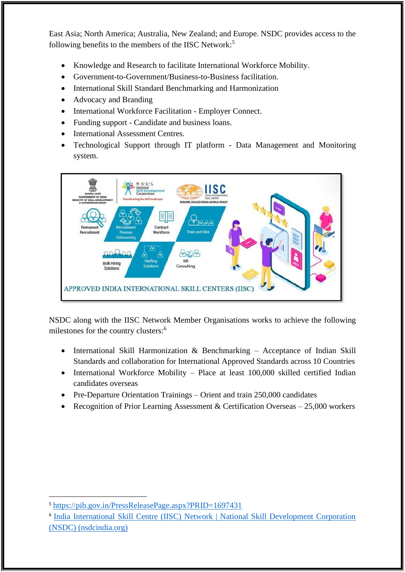East Asia; North America; Australia, New Zealand; and Europe. NSDC provides access to the following benefits to the members of the IISC Network:<sup>5</sup>

- Knowledge and Research to facilitate International Workforce Mobility.
- Government-to-Government/Business-to-Business facilitation.
- International Skill Standard Benchmarking and Harmonization
- Advocacy and Branding
- International Workforce Facilitation Employer Connect.
- Funding support Candidate and business loans.
- International Assessment Centres.
- Technological Support through IT platform Data Management and Monitoring system.



NSDC along with the IISC Network Member Organisations works to achieve the following milestones for the country clusters:<sup>6</sup>

- International Skill Harmonization & Benchmarking Acceptance of Indian Skill Standards and collaboration for International Approved Standards across 10 Countries
- International Workforce Mobility Place at least 100,000 skilled certified Indian candidates overseas
- Pre-Departure Orientation Trainings Orient and train 250,000 candidates
- Recognition of Prior Learning Assessment & Certification Overseas 25,000 workers

<sup>5</sup> <https://pib.gov.in/PressReleasePage.aspx?PRID=1697431>

<sup>6</sup> [India International Skill Centre \(IISC\) Network | National Skill Development Corporation](https://nsdcindia.org/iisc-network)  [\(NSDC\) \(nsdcindia.org\)](https://nsdcindia.org/iisc-network)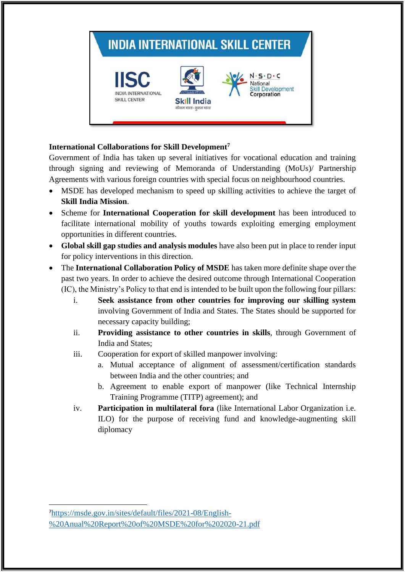

# **International Collaborations for Skill Development<sup>7</sup>**

Government of India has taken up several initiatives for vocational education and training through signing and reviewing of Memoranda of Understanding (MoUs)/ Partnership Agreements with various foreign countries with special focus on neighbourhood countries.

- MSDE has developed mechanism to speed up skilling activities to achieve the target of **Skill India Mission**.
- Scheme for **International Cooperation for skill development** has been introduced to facilitate international mobility of youths towards exploiting emerging employment opportunities in different countries.
- **Global skill gap studies and analysis modules** have also been put in place to render input for policy interventions in this direction.
- The **International Collaboration Policy of MSDE** has taken more definite shape over the past two years. In order to achieve the desired outcome through International Cooperation (IC), the Ministry's Policy to that end is intended to be built upon the following four pillars:
	- i. **Seek assistance from other countries for improving our skilling system** involving Government of India and States. The States should be supported for necessary capacity building;
	- ii. **Providing assistance to other countries in skills**, through Government of India and States;
	- iii. Cooperation for export of skilled manpower involving:
		- a. Mutual acceptance of alignment of assessment/certification standards between India and the other countries; and
		- b. Agreement to enable export of manpower (like Technical Internship Training Programme (TITP) agreement); and
	- iv. **Participation in multilateral fora** (like International Labor Organization i.e. ILO) for the purpose of receiving fund and knowledge-augmenting skill diplomacy

<sup>7</sup>[https://msde.gov.in/sites/default/files/2021-08/English-](https://msde.gov.in/sites/default/files/2021-08/English-%20Anual%20Report%20of%20MSDE%20for%202020-21.pdf) [%20Anual%20Report%20of%20MSDE%20for%202020-21.pdf](https://msde.gov.in/sites/default/files/2021-08/English-%20Anual%20Report%20of%20MSDE%20for%202020-21.pdf)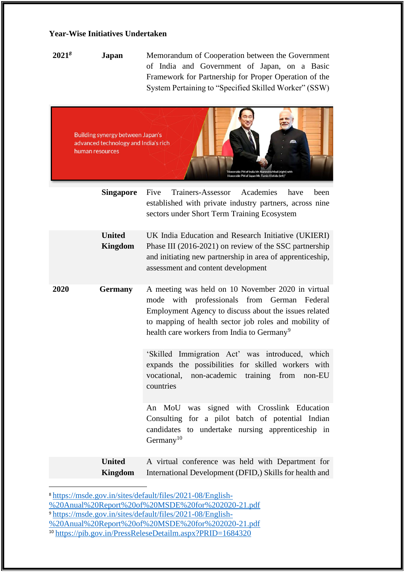### **Year-Wise Initiatives Undertaken**

**2021***<sup>8</sup>* **Japan** Memorandum of Cooperation between the Government of India and Government of Japan, on a Basic Framework for Partnership for Proper Operation of the System Pertaining to "Specified Skilled Worker" (SSW)



|      | <b>Singapore</b>                | Trainers-Assessor Academies<br>Five<br>have<br>been<br>established with private industry partners, across nine<br>sectors under Short Term Training Ecosystem                                                                                                                |
|------|---------------------------------|------------------------------------------------------------------------------------------------------------------------------------------------------------------------------------------------------------------------------------------------------------------------------|
|      | <b>United</b><br><b>Kingdom</b> | UK India Education and Research Initiative (UKIERI)<br>Phase III (2016-2021) on review of the SSC partnership<br>and initiating new partnership in area of apprenticeship,<br>assessment and content development                                                             |
| 2020 | <b>Germany</b>                  | A meeting was held on 10 November 2020 in virtual<br>mode with professionals from German Federal<br>Employment Agency to discuss about the issues related<br>to mapping of health sector job roles and mobility of<br>health care workers from India to Germany <sup>9</sup> |
|      |                                 | 'Skilled Immigration Act' was introduced, which<br>expands the possibilities for skilled workers with<br>vocational, non-academic training from non-EU<br>countries                                                                                                          |
|      |                                 | An MoU was signed with Crosslink Education<br>Consulting for a pilot batch of potential Indian<br>candidates to undertake nursing apprenticeship in<br>Germany <sup>10</sup>                                                                                                 |
|      | <b>United</b><br><b>Kingdom</b> | A virtual conference was held with Department for<br>International Development (DFID,) Skills for health and                                                                                                                                                                 |

<sup>8</sup> [https://msde.gov.in/sites/default/files/2021-08/English-](https://msde.gov.in/sites/default/files/2021-08/English-%20Anual%20Report%20of%20MSDE%20for%202020-21.pdf)

- [%20Anual%20Report%20of%20MSDE%20for%202020-21.pdf](https://msde.gov.in/sites/default/files/2021-08/English-%20Anual%20Report%20of%20MSDE%20for%202020-21.pdf)
- <sup>9</sup> [https://msde.gov.in/sites/default/files/2021-08/English-](https://msde.gov.in/sites/default/files/2021-08/English-%20Anual%20Report%20of%20MSDE%20for%202020-21.pdf)
- [%20Anual%20Report%20of%20MSDE%20for%202020-21.pdf](https://msde.gov.in/sites/default/files/2021-08/English-%20Anual%20Report%20of%20MSDE%20for%202020-21.pdf)
- <sup>10</sup> <https://pib.gov.in/PressReleseDetailm.aspx?PRID=1684320>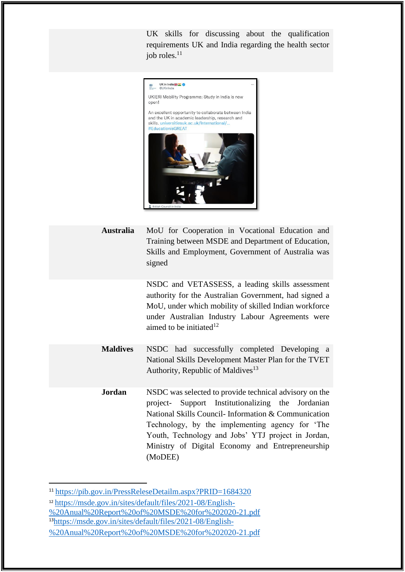UK skills for discussing about the qualification requirements UK and India regarding the health sector job roles.<sup>11</sup>



**Australia** MoU for Cooperation in Vocational Education and Training between MSDE and Department of Education, Skills and Employment, Government of Australia was signed

> NSDC and VETASSESS, a leading skills assessment authority for the Australian Government, had signed a MoU, under which mobility of skilled Indian workforce under Australian Industry Labour Agreements were aimed to be initiated $12$

- **Maldives** NSDC had successfully completed Developing a National Skills Development Master Plan for the TVET Authority, Republic of Maldives<sup>13</sup>
- **Jordan** NSDC was selected to provide technical advisory on the project- Support Institutionalizing the Jordanian National Skills Council- Information & Communication Technology, by the implementing agency for 'The Youth, Technology and Jobs' YTJ project in Jordan, Ministry of Digital Economy and Entrepreneurship (MoDEE)

<sup>11</sup> <https://pib.gov.in/PressReleseDetailm.aspx?PRID=1684320>

<sup>12</sup> [https://msde.gov.in/sites/default/files/2021-08/English-](https://msde.gov.in/sites/default/files/2021-08/English-%20Anual%20Report%20of%20MSDE%20for%202020-21.pdf)

[<sup>%20</sup>Anual%20Report%20of%20MSDE%20for%202020-21.pdf](https://msde.gov.in/sites/default/files/2021-08/English-%20Anual%20Report%20of%20MSDE%20for%202020-21.pdf) <sup>13</sup>[https://msde.gov.in/sites/default/files/2021-08/English-](https://msde.gov.in/sites/default/files/2021-08/English-%20Anual%20Report%20of%20MSDE%20for%202020-21.pdf)

[<sup>%20</sup>Anual%20Report%20of%20MSDE%20for%202020-21.pdf](https://msde.gov.in/sites/default/files/2021-08/English-%20Anual%20Report%20of%20MSDE%20for%202020-21.pdf)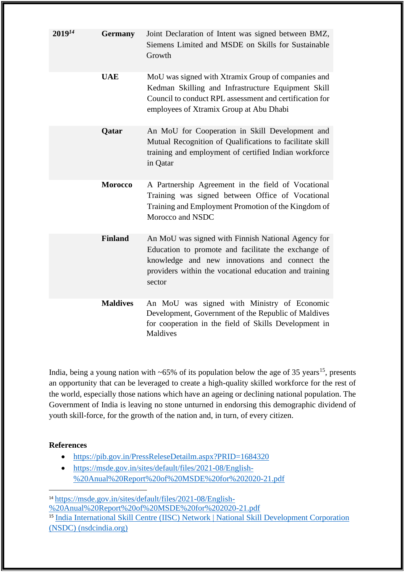| $2019^{14}$ | <b>Germany</b>  | Joint Declaration of Intent was signed between BMZ,<br>Siemens Limited and MSDE on Skills for Sustainable<br>Growth                                                                                                            |
|-------------|-----------------|--------------------------------------------------------------------------------------------------------------------------------------------------------------------------------------------------------------------------------|
|             | <b>UAE</b>      | MoU was signed with Xtramix Group of companies and<br>Kedman Skilling and Infrastructure Equipment Skill<br>Council to conduct RPL assessment and certification for<br>employees of Xtramix Group at Abu Dhabi                 |
|             | Qatar           | An MoU for Cooperation in Skill Development and<br>Mutual Recognition of Qualifications to facilitate skill<br>training and employment of certified Indian workforce<br>in Qatar                                               |
|             | <b>Morocco</b>  | A Partnership Agreement in the field of Vocational<br>Training was signed between Office of Vocational<br>Training and Employment Promotion of the Kingdom of<br>Morocco and NSDC                                              |
|             | <b>Finland</b>  | An MoU was signed with Finnish National Agency for<br>Education to promote and facilitate the exchange of<br>knowledge and new innovations and connect the<br>providers within the vocational education and training<br>sector |
|             | <b>Maldives</b> | An MoU was signed with Ministry of Economic<br>Development, Government of the Republic of Maldives<br>for cooperation in the field of Skills Development in<br><b>Maldives</b>                                                 |

India, being a young nation with  $\sim 65\%$  of its population below the age of 35 years<sup>15</sup>, presents an opportunity that can be leveraged to create a high-quality skilled workforce for the rest of the world, especially those nations which have an ageing or declining national population. The Government of India is leaving no stone unturned in endorsing this demographic dividend of youth skill-force, for the growth of the nation and, in turn, of every citizen.

### **References**

- <https://pib.gov.in/PressReleseDetailm.aspx?PRID=1684320>
- [https://msde.gov.in/sites/default/files/2021-08/English-](https://msde.gov.in/sites/default/files/2021-08/English-%20Anual%20Report%20of%20MSDE%20for%202020-21.pdf) [%20Anual%20Report%20of%20MSDE%20for%202020-21.pdf](https://msde.gov.in/sites/default/files/2021-08/English-%20Anual%20Report%20of%20MSDE%20for%202020-21.pdf)

<sup>14</sup> [https://msde.gov.in/sites/default/files/2021-08/English-](https://msde.gov.in/sites/default/files/2021-08/English-%20Anual%20Report%20of%20MSDE%20for%202020-21.pdf) [%20Anual%20Report%20of%20MSDE%20for%202020-21.pdf](https://msde.gov.in/sites/default/files/2021-08/English-%20Anual%20Report%20of%20MSDE%20for%202020-21.pdf) <sup>15</sup> India International Skill Centre (IISC) Network | National Skill Development Corporation [\(NSDC\) \(nsdcindia.org\)](https://nsdcindia.org/iisc-network)